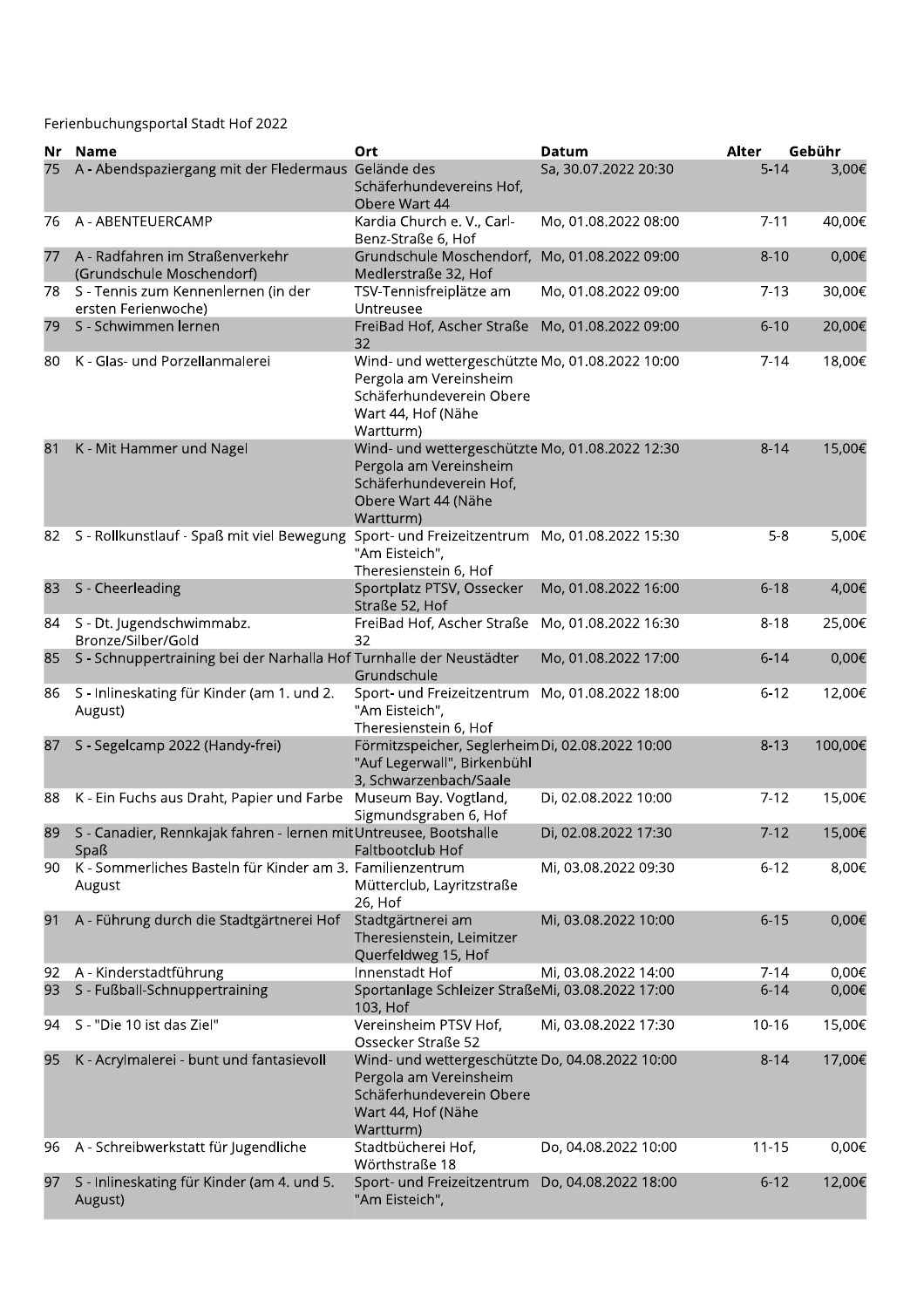|     | Ferienbuchungsportal Stadt Hof 2022                                                        |                                                                                                                                          |                                      |                   |                 |
|-----|--------------------------------------------------------------------------------------------|------------------------------------------------------------------------------------------------------------------------------------------|--------------------------------------|-------------------|-----------------|
| Nr. | <b>Name</b><br>A - Abendspaziergang mit der Fledermaus Gelände des                         | Ort<br>Schäferhundevereins Hof,<br>Obere Wart 44                                                                                         | <b>Datum</b><br>Sa, 30.07.2022 20:30 | Alter<br>$5 - 14$ | Gebühr<br>3,00€ |
| 76  | A - ABENTEUERCAMP                                                                          | Kardia Church e. V., Carl-<br>Benz-Straße 6, Hof                                                                                         | Mo, 01.08.2022 08:00                 | $7 - 11$          | 40,00€          |
| 77  | A - Radfahren im Straßenverkehr<br>(Grundschule Moschendorf)                               | Grundschule Moschendorf, Mo, 01.08.2022 09:00<br>Medlerstraße 32, Hof                                                                    |                                      | $8 - 10$          | 0,00€           |
|     | 78 S - Tennis zum Kennenlernen (in der<br>ersten Ferienwoche)                              | TSV-Tennisfreiplätze am<br>Untreusee                                                                                                     | Mo, 01.08.2022 09:00                 | $7-13$            | 30,00€          |
| 79  | S - Schwimmen lernen                                                                       | FreiBad Hof, Ascher Straße Mo, 01.08.2022 09:00<br>32                                                                                    |                                      | $6 - 10$          | 20,00€          |
| 80  | K - Glas- und Porzellanmalerei                                                             | Wind- und wettergeschützte Mo, 01.08.2022 10:00<br>Pergola am Vereinsheim<br>Schäferhundeverein Obere<br>Wart 44, Hof (Nähe<br>Wartturm) |                                      | $7 - 14$          | 18,00€          |
| 81  | K - Mit Hammer und Nagel                                                                   | Wind- und wettergeschützte Mo, 01.08.2022 12:30<br>Pergola am Vereinsheim<br>Schäferhundeverein Hof,<br>Obere Wart 44 (Nähe<br>Wartturm) |                                      | $8 - 14$          | 15,00€          |
| 82  | S - Rollkunstlauf - Spaß mit viel Bewegung Sport- und Freizeitzentrum Mo, 01.08.2022 15:30 | "Am Eisteich",<br>Theresienstein 6, Hof                                                                                                  |                                      | $5 - 8$           | 5,00€           |
| 83  | S - Cheerleading                                                                           | Sportplatz PTSV, Ossecker<br>Straße 52, Hof                                                                                              | Mo, 01.08.2022 16:00                 | $6 - 18$          | 4,00€           |
| 84  | S - Dt. Jugendschwimmabz.<br>Bronze/Silber/Gold                                            | FreiBad Hof, Ascher Straße Mo, 01.08.2022 16:30<br>32                                                                                    |                                      | $8 - 18$          | 25,00€          |
| 85  | S - Schnuppertraining bei der Narhalla Hof Turnhalle der Neustädter                        | Grundschule                                                                                                                              | Mo, 01.08.2022 17:00                 | $6 - 14$          | 0,00€           |
| 86  | S - Inlineskating für Kinder (am 1. und 2.<br>August)                                      | Sport- und Freizeitzentrum Mo, 01.08.2022 18:00<br>"Am Eisteich",<br>Theresienstein 6, Hof                                               |                                      | $6 - 12$          | 12,00€          |
|     | 87 S - Segelcamp 2022 (Handy-frei)                                                         | Förmitzspeicher, Seglerheim Di, 02.08.2022 10:00<br>"Auf Legerwall", Birkenbühl<br>3, Schwarzenbach/Saale                                |                                      | $8 - 13$          | 100,00€         |
| 88  | K - Ein Fuchs aus Draht, Papier und Farbe Museum Bay. Vogtland,                            | Sigmundsgraben 6, Hof                                                                                                                    | Di, 02.08.2022 10:00                 | $7-12$            | 15,00€          |
| 89  | S - Canadier, Rennkajak fahren - Iernen mit Untreusee, Bootshalle<br>Spaß                  | Faltbootclub Hof                                                                                                                         | Di, 02.08.2022 17:30                 | $7-12$            | 15,00€          |
| 90. | K - Sommerliches Basteln für Kinder am 3. Familienzentrum<br>August                        | Mütterclub, Layritzstraße<br>26, Hof                                                                                                     | Mi, 03.08.2022 09:30                 | $6 - 12$          | 8,00€           |
| 91  | A - Führung durch die Stadtgärtnerei Hof                                                   | Stadtgärtnerei am<br>Theresienstein, Leimitzer<br>Querfeldweg 15, Hof                                                                    | Mi, 03.08.2022 10:00                 | $6 - 15$          | 0,00€           |
| 92  | A - Kinderstadtführung                                                                     | Innenstadt Hof                                                                                                                           | Mi, 03.08.2022 14:00                 | $7 - 14$          | 0,00€           |
| 93  | S - Fußball-Schnuppertraining                                                              | Sportanlage Schleizer StraßeMi, 03.08.2022 17:00<br>103, Hof                                                                             |                                      | $6 - 14$          | 0,00€           |
| 94  | S - "Die 10 ist das Ziel"                                                                  | Vereinsheim PTSV Hof,<br>Ossecker Straße 52                                                                                              | Mi, 03.08.2022 17:30                 | 10-16             | 15,00€          |
| 95  | K - Acrylmalerei - bunt und fantasievoll                                                   | Wind- und wettergeschützte Do, 04.08.2022 10:00<br>Pergola am Vereinsheim<br>Schäferhundeverein Obere<br>Wart 44, Hof (Nähe<br>Wartturm) |                                      | $8 - 14$          | 17,00€          |
| 96  | A - Schreibwerkstatt für Jugendliche                                                       | Stadtbücherei Hof,<br>Wörthstraße 18                                                                                                     | Do, 04.08.2022 10:00                 | $11 - 15$         | 0,00€           |
| 97  | S - Inlineskating für Kinder (am 4. und 5.<br>August)                                      | Sport- und Freizeitzentrum<br>"Am Eisteich",                                                                                             | Do, 04.08.2022 18:00                 | $6 - 12$          | 12,00€          |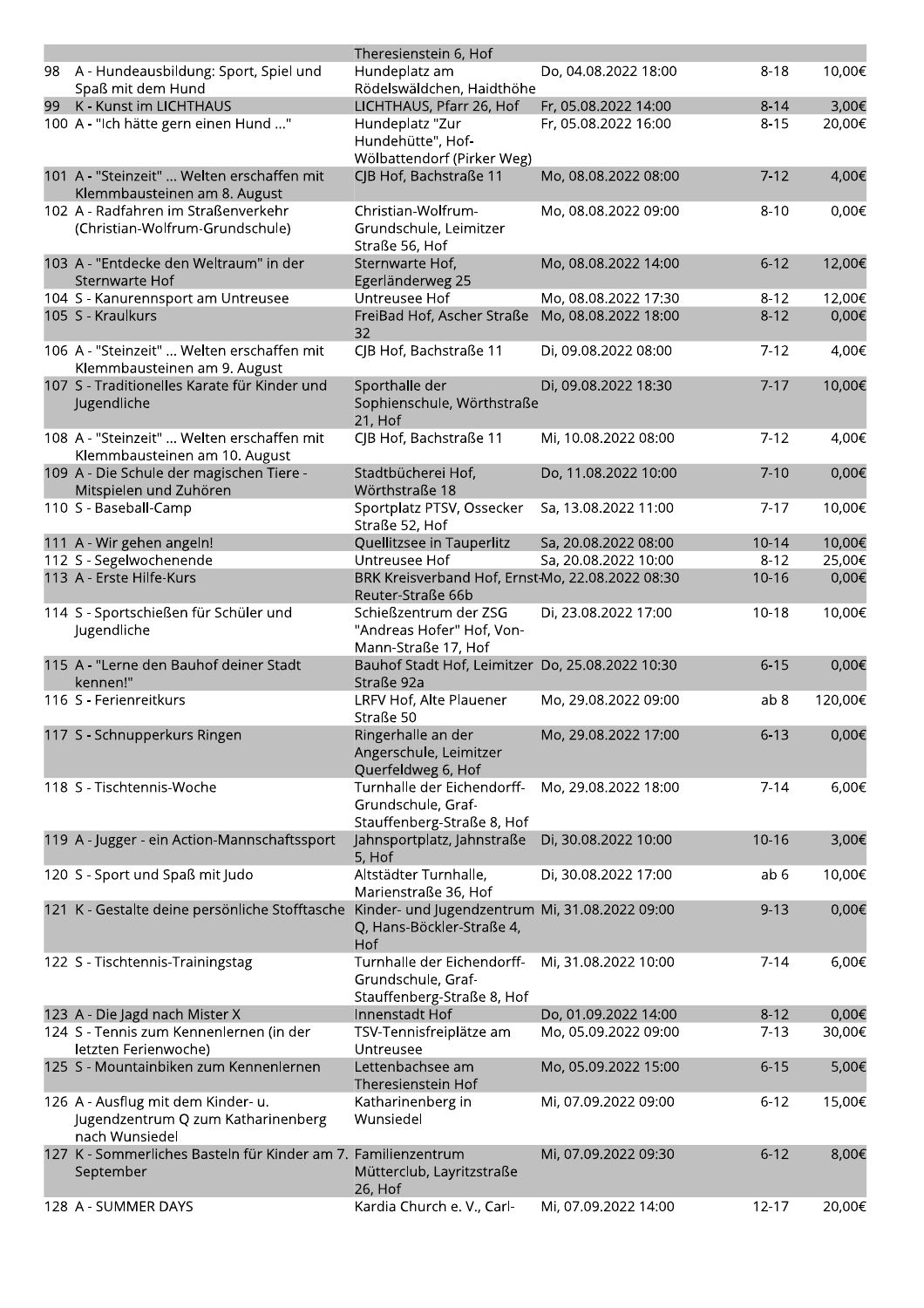|    |                                                                                            | Theresienstein 6, Hof                                                              |                      |           |         |
|----|--------------------------------------------------------------------------------------------|------------------------------------------------------------------------------------|----------------------|-----------|---------|
| 98 | A - Hundeausbildung: Sport, Spiel und<br>Spaß mit dem Hund                                 | Hundeplatz am<br>Rödelswäldchen, Haidthöhe                                         | Do, 04.08.2022 18:00 | $8 - 18$  | 10,00€  |
| 99 | K - Kunst im LICHTHAUS                                                                     | LICHTHAUS, Pfarr 26, Hof                                                           | Fr, 05.08.2022 14:00 | $8 - 14$  | 3,00€   |
|    | 100 A - "Ich hätte gern einen Hund "                                                       | Hundeplatz "Zur<br>Hundehütte", Hof-<br>Wölbattendorf (Pirker Weg)                 | Fr, 05.08.2022 16:00 | $8 - 15$  | 20,00€  |
|    | 101 A - "Steinzeit"  Welten erschaffen mit<br>Klemmbausteinen am 8. August                 | CJB Hof, Bachstraße 11                                                             | Mo, 08.08.2022 08:00 | $7 - 12$  | 4,00€   |
|    | 102 A - Radfahren im Straßenverkehr<br>(Christian-Wolfrum-Grundschule)                     | Christian-Wolfrum-<br>Grundschule, Leimitzer<br>Straße 56, Hof                     | Mo, 08.08.2022 09:00 | $8 - 10$  | 0,00€   |
|    | 103 A - "Entdecke den Weltraum" in der<br>Sternwarte Hof                                   | Sternwarte Hof,<br>Egerländerweg 25                                                | Mo, 08.08.2022 14:00 | $6 - 12$  | 12,00€  |
|    | 104 S - Kanurennsport am Untreusee                                                         | Untreusee Hof                                                                      | Mo, 08.08.2022 17:30 | $8 - 12$  | 12,00€  |
|    | 105 S - Kraulkurs                                                                          | FreiBad Hof, Ascher Straße<br>32                                                   | Mo, 08.08.2022 18:00 | $8 - 12$  | 0,00€   |
|    | 106 A - "Steinzeit"  Welten erschaffen mit<br>Klemmbausteinen am 9. August                 | CJB Hof, Bachstraße 11                                                             | Di, 09.08.2022 08:00 | $7-12$    | 4,00€   |
|    | 107 S - Traditionelles Karate für Kinder und<br>Jugendliche                                | Sporthalle der<br>Sophienschule, Wörthstraße<br>21, Hof                            | Di, 09.08.2022 18:30 | $7 - 17$  | 10,00€  |
|    | 108 A - "Steinzeit"  Welten erschaffen mit<br>Klemmbausteinen am 10. August                | CJB Hof, Bachstraße 11                                                             | Mi, 10.08.2022 08:00 | $7 - 12$  | 4,00€   |
|    | 109 A - Die Schule der magischen Tiere -<br>Mitspielen und Zuhören                         | Stadtbücherei Hof,<br>Wörthstraße 18                                               | Do, 11.08.2022 10:00 | $7-10$    | 0,00€   |
|    | 110 S - Baseball-Camp                                                                      | Sportplatz PTSV, Ossecker<br>Straße 52, Hof                                        | Sa, 13.08.2022 11:00 | $7 - 17$  | 10,00€  |
|    | 111 A - Wir gehen angeln!                                                                  | Quellitzsee in Tauperlitz                                                          | Sa, 20.08.2022 08:00 | $10 - 14$ | 10,00€  |
|    | 112 S - Segelwochenende                                                                    | Untreusee Hof                                                                      | Sa, 20.08.2022 10:00 | $8 - 12$  | 25,00€  |
|    | 113 A - Erste Hilfe-Kurs                                                                   | BRK Kreisverband Hof, Ernst-Mo, 22.08.2022 08:30<br>Reuter-Straße 66b              |                      | $10 - 16$ | 0,00€   |
|    | 114 S - Sportschießen für Schüler und<br>Jugendliche                                       | Schießzentrum der ZSG<br>"Andreas Hofer" Hof, Von-<br>Mann-Straße 17, Hof          | Di, 23.08.2022 17:00 | $10-18$   | 10,00€  |
|    | 115 A - "Lerne den Bauhof deiner Stadt<br>kennen!"                                         | Bauhof Stadt Hof, Leimitzer Do, 25.08.2022 10:30<br>Straße 92a                     |                      | $6 - 15$  | 0,00€   |
|    | 116 S - Ferienreitkurs                                                                     | LRFV Hof, Alte Plauener<br>Straße 50                                               | Mo, 29.08.2022 09:00 | ab 8      | 120,00€ |
|    | 117 S - Schnupperkurs Ringen                                                               | Ringerhalle an der<br>Angerschule, Leimitzer<br>Querfeldweg 6, Hof                 | Mo, 29.08.2022 17:00 | $6 - 13$  | 0,00€   |
|    | 118 S - Tischtennis-Woche                                                                  | Turnhalle der Eichendorff-<br>Grundschule, Graf-<br>Stauffenberg-Straße 8, Hof     | Mo, 29.08.2022 18:00 | $7 - 14$  | 6,00€   |
|    | 119 A - Jugger - ein Action-Mannschaftssport                                               | Jahnsportplatz, Jahnstraße<br>5, Hof                                               | Di, 30.08.2022 10:00 | $10 - 16$ | 3,00€   |
|    | 120 S - Sport und Spaß mit Judo                                                            | Altstädter Turnhalle,<br>Marienstraße 36, Hof                                      | Di, 30.08.2022 17:00 | ab 6      | 10,00€  |
|    | 121 K - Gestalte deine persönliche Stofftasche                                             | Kinder- und Jugendzentrum Mi, 31.08.2022 09:00<br>Q, Hans-Böckler-Straße 4,<br>Hof |                      | $9 - 13$  | 0,00€   |
|    | 122 S - Tischtennis-Trainingstag                                                           | Turnhalle der Eichendorff-<br>Grundschule, Graf-<br>Stauffenberg-Straße 8, Hof     | Mi, 31.08.2022 10:00 | $7-14$    | 6,00€   |
|    | 123 A - Die Jagd nach Mister X                                                             | Innenstadt Hof                                                                     | Do, 01.09.2022 14:00 | $8 - 12$  | 0,00€   |
|    | 124 S - Tennis zum Kennenlernen (in der<br>letzten Ferienwoche)                            | TSV-Tennisfreiplätze am<br>Untreusee                                               | Mo, 05.09.2022 09:00 | $7-13$    | 30,00€  |
|    | 125 S - Mountainbiken zum Kennenlernen                                                     | Lettenbachsee am<br>Theresienstein Hof                                             | Mo, 05.09.2022 15:00 | $6 - 15$  | 5,00€   |
|    | 126 A - Ausflug mit dem Kinder- u.<br>Jugendzentrum Q zum Katharinenberg<br>nach Wunsiedel | Katharinenberg in<br>Wunsiedel                                                     | Mi, 07.09.2022 09:00 | $6 - 12$  | 15,00€  |
|    | 127 K - Sommerliches Basteln für Kinder am 7. Familienzentrum<br>September                 | Mütterclub, Layritzstraße<br>26, Hof                                               | Mi, 07.09.2022 09:30 | $6 - 12$  | 8,00€   |
|    | 128 A - SUMMER DAYS                                                                        | Kardia Church e. V., Carl-                                                         | Mi, 07.09.2022 14:00 | $12 - 17$ | 20,00€  |